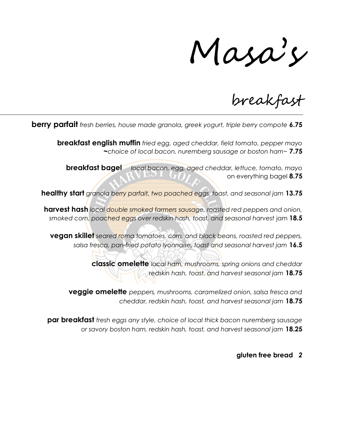Masa's

breakfast

**berry parfait** fresh berries, house made granola, greek yogurt, triple berry compote 6.75

**breakfast english muffin** fried egg, aged cheddar, field tomato, pepper mayo ~choice of local bacon, nuremberg sausage or boston ham~ 7.75

**breakfast bagel** local bacon, egg, aged cheddar, lettuce, tomato, mayo on everything bagel 8.75

healthy start granola berry parfait, two poached eggs, toast, and seasonal jam 13.75

harvest hash local double smoked farmers sausage, roasted red peppers and onion, smoked corn, poached eggs over redskin hash, toast, and seasonal harvest jam 18.5

**vegan skillet** seared roma tomatoes, corn, and black beans, roasted red peppers, salsa fresca, pan-fried potato lyonnaise, toast and seasonal harvest jam 16.5

> classic omelette local ham, mushrooms, spring onions and cheddar redskin hash, toast, and harvest seasonal jam 18.75

**veggie omelette** peppers, mushrooms, caramelized onion, salsa fresca and cheddar, redskin hash, toast, and harvest seasonal jam 18.75

**par breakfast** fresh eggs any style, choice of local thick bacon nuremberg sausage or savory boston ham, redskin hash, toast, and harvest seasonal jam 18.25

## gluten free bread 2